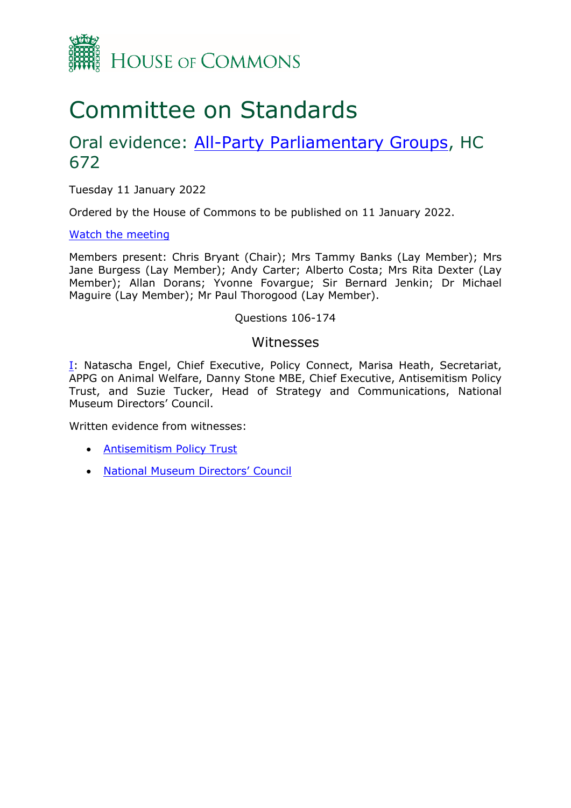

# Committee on Standards

## Oral evidence: [All-Party](https://committees.parliament.uk/work/659/allparty-parliamentary-groups/) [Parliamentary](https://committees.parliament.uk/work/659/allparty-parliamentary-groups/) [Groups](https://committees.parliament.uk/work/659/allparty-parliamentary-groups/), HC 672

Tuesday 11 January 2022

Ordered by the House of Commons to be published on 11 January 2022.

[Watch](https://www.parliamentlive.tv/Event/Index/9c39c28a-9213-4772-a8dc-d33d1264871f) [the](https://www.parliamentlive.tv/Event/Index/9c39c28a-9213-4772-a8dc-d33d1264871f) [meeting](https://www.parliamentlive.tv/Event/Index/9c39c28a-9213-4772-a8dc-d33d1264871f)

Members present: Chris Bryant (Chair); Mrs Tammy Banks (Lay Member); Mrs Jane Burgess (Lay Member); Andy Carter; Alberto Costa; Mrs Rita Dexter (Lay Member); Allan Dorans; Yvonne Fovargue; Sir Bernard Jenkin; Dr Michael Maguire (Lay Member); Mr Paul Thorogood (Lay Member).

#### Questions 106-174

#### Witnesses

[I:](#page-1-0) Natascha Engel, Chief Executive, Policy Connect, Marisa Heath, Secretariat, APPG on Animal Welfare, Danny Stone MBE, Chief Executive, Antisemitism Policy Trust, and Suzie Tucker, Head of Strategy and Communications, National Museum Directors' Council.

Written evidence from witnesses:

- [Antisemitism](https://committees.parliament.uk/writtenevidence/41458/pdf/) [Policy](https://committees.parliament.uk/writtenevidence/41458/pdf/) [Trust](https://committees.parliament.uk/writtenevidence/41458/pdf/)
- [National](https://committees.parliament.uk/writtenevidence/18658/pdf/) [Museum](https://committees.parliament.uk/writtenevidence/18658/pdf/) [Directors'](https://committees.parliament.uk/writtenevidence/18658/pdf/) [Council](https://committees.parliament.uk/writtenevidence/18658/pdf/)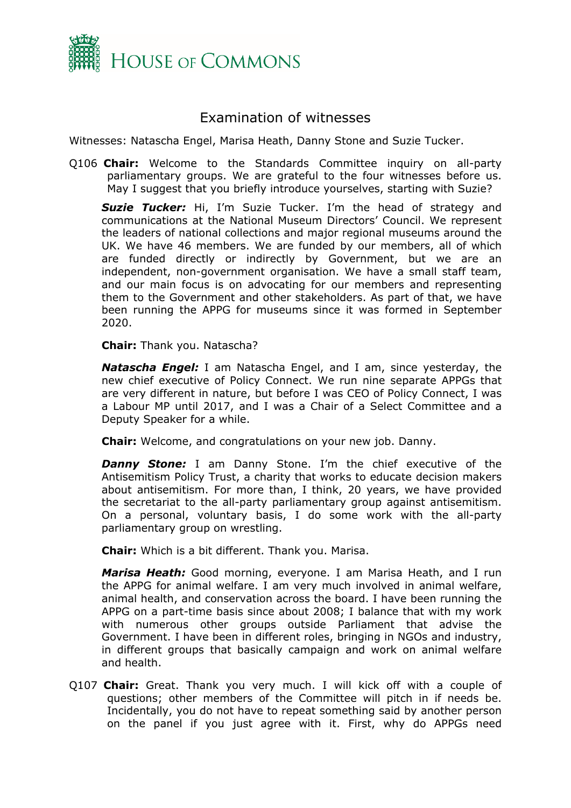

### <span id="page-1-0"></span>Examination of witnesses

Witnesses: Natascha Engel, Marisa Heath, Danny Stone and Suzie Tucker.

Q106 **Chair:** Welcome to the Standards Committee inquiry on all-party parliamentary groups. We are grateful to the four witnesses before us. May I suggest that you briefly introduce yourselves, starting with Suzie?

*Suzie Tucker:* Hi, I'm Suzie Tucker. I'm the head of strategy and communications at the National Museum Directors' Council. We represent the leaders of national collections and major regional museums around the UK. We have 46 members. We are funded by our members, all of which are funded directly or indirectly by Government, but we are an independent, non-government organisation. We have a small staff team, and our main focus is on advocating for our members and representing them to the Government and other stakeholders. As part of that, we have been running the APPG for museums since it was formed in September 2020.

**Chair:** Thank you. Natascha?

*Natascha Engel:* I am Natascha Engel, and I am, since yesterday, the new chief executive of Policy Connect. We run nine separate APPGs that are very different in nature, but before I was CEO of Policy Connect, I was a Labour MP until 2017, and I was a Chair of a Select Committee and a Deputy Speaker for a while.

**Chair:** Welcome, and congratulations on your new job. Danny.

**Danny Stone:** I am Danny Stone. I'm the chief executive of the Antisemitism Policy Trust, a charity that works to educate decision makers about antisemitism. For more than, I think, 20 years, we have provided the secretariat to the all-party parliamentary group against antisemitism. On a personal, voluntary basis, I do some work with the all-party parliamentary group on wrestling.

**Chair:** Which is a bit different. Thank you. Marisa.

*Marisa Heath:* Good morning, everyone. I am Marisa Heath, and I run the APPG for animal welfare. I am very much involved in animal welfare, animal health, and conservation across the board. I have been running the APPG on a part-time basis since about 2008; I balance that with my work with numerous other groups outside Parliament that advise the Government. I have been in different roles, bringing in NGOs and industry, in different groups that basically campaign and work on animal welfare and health.

Q107 **Chair:** Great. Thank you very much. I will kick off with a couple of questions; other members of the Committee will pitch in if needs be. Incidentally, you do not have to repeat something said by another person on the panel if you just agree with it. First, why do APPGs need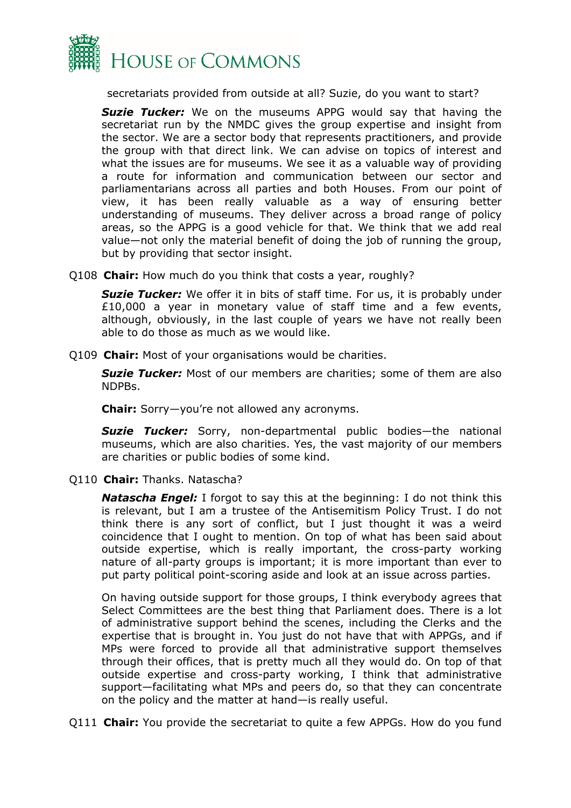

secretariats provided from outside at all? Suzie, do you want to start?

*Suzie Tucker:* We on the museums APPG would say that having the secretariat run by the NMDC gives the group expertise and insight from the sector. We are a sector body that represents practitioners, and provide the group with that direct link. We can advise on topics of interest and what the issues are for museums. We see it as a valuable way of providing a route for information and communication between our sector and parliamentarians across all parties and both Houses. From our point of view, it has been really valuable as a way of ensuring better understanding of museums. They deliver across a broad range of policy areas, so the APPG is a good vehicle for that. We think that we add real value—not only the material benefit of doing the job of running the group, but by providing that sector insight.

Q108 **Chair:** How much do you think that costs a year, roughly?

**Suzie Tucker:** We offer it in bits of staff time. For us, it is probably under £10,000 a year in monetary value of staff time and a few events, although, obviously, in the last couple of years we have not really been able to do those as much as we would like.

Q109 **Chair:** Most of your organisations would be charities.

**Suzie Tucker:** Most of our members are charities; some of them are also NDPBs.

**Chair:** Sorry—you're not allowed any acronyms.

*Suzie Tucker:* Sorry, non-departmental public bodies—the national museums, which are also charities. Yes, the vast majority of our members are charities or public bodies of some kind.

Q110 **Chair:** Thanks. Natascha?

*Natascha Engel:* I forgot to say this at the beginning: I do not think this is relevant, but I am a trustee of the Antisemitism Policy Trust. I do not think there is any sort of conflict, but I just thought it was a weird coincidence that I ought to mention. On top of what has been said about outside expertise, which is really important, the cross-party working nature of all-party groups is important; it is more important than ever to put party political point-scoring aside and look at an issue across parties.

On having outside support for those groups, I think everybody agrees that Select Committees are the best thing that Parliament does. There is a lot of administrative support behind the scenes, including the Clerks and the expertise that is brought in. You just do not have that with APPGs, and if MPs were forced to provide all that administrative support themselves through their offices, that is pretty much all they would do. On top of that outside expertise and cross-party working, I think that administrative support—facilitating what MPs and peers do, so that they can concentrate on the policy and the matter at hand—is really useful.

Q111 **Chair:** You provide the secretariat to quite a few APPGs. How do you fund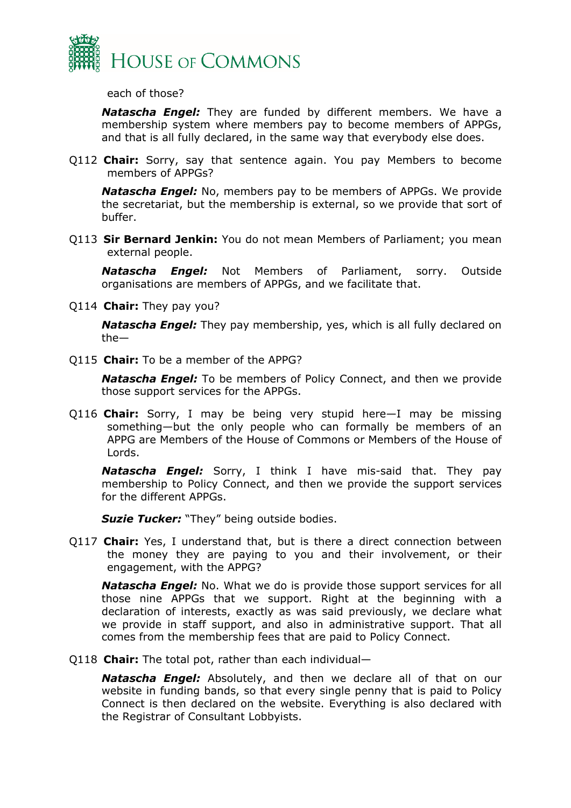

each of those?

*Natascha Engel:* They are funded by different members. We have a membership system where members pay to become members of APPGs, and that is all fully declared, in the same way that everybody else does.

Q112 **Chair:** Sorry, say that sentence again. You pay Members to become members of APPGs?

*Natascha Engel:* No, members pay to be members of APPGs. We provide the secretariat, but the membership is external, so we provide that sort of buffer.

Q113 **Sir Bernard Jenkin:** You do not mean Members of Parliament; you mean external people.

*Natascha Engel:* Not Members of Parliament, sorry. Outside organisations are members of APPGs, and we facilitate that.

Q114 **Chair:** They pay you?

*Natascha Engel:* They pay membership, yes, which is all fully declared on the—

Q115 **Chair:** To be a member of the APPG?

*Natascha Engel:* To be members of Policy Connect, and then we provide those support services for the APPGs.

Q116 **Chair:** Sorry, I may be being very stupid here—I may be missing something—but the only people who can formally be members of an APPG are Members of the House of Commons or Members of the House of Lords.

*Natascha Engel:* Sorry, I think I have mis-said that. They pay membership to Policy Connect, and then we provide the support services for the different APPGs.

**Suzie Tucker:** "They" being outside bodies.

Q117 **Chair:** Yes, I understand that, but is there a direct connection between the money they are paying to you and their involvement, or their engagement, with the APPG?

*Natascha Engel:* No. What we do is provide those support services for all those nine APPGs that we support. Right at the beginning with a declaration of interests, exactly as was said previously, we declare what we provide in staff support, and also in administrative support. That all comes from the membership fees that are paid to Policy Connect.

Q118 **Chair:** The total pot, rather than each individual—

*Natascha Engel:* Absolutely, and then we declare all of that on our website in funding bands, so that every single penny that is paid to Policy Connect is then declared on the website. Everything is also declared with the Registrar of Consultant Lobbyists.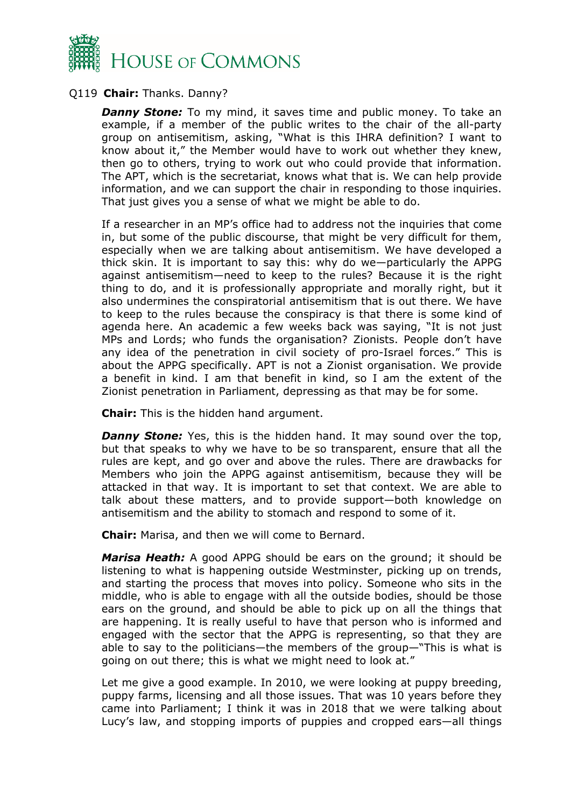

#### Q119 **Chair:** Thanks. Danny?

**Danny Stone:** To my mind, it saves time and public money. To take an example, if a member of the public writes to the chair of the all-party group on antisemitism, asking, "What is this IHRA definition? I want to know about it," the Member would have to work out whether they knew, then go to others, trying to work out who could provide that information. The APT, which is the secretariat, knows what that is. We can help provide information, and we can support the chair in responding to those inquiries. That just gives you a sense of what we might be able to do.

If a researcher in an MP's office had to address not the inquiries that come in, but some of the public discourse, that might be very difficult for them, especially when we are talking about antisemitism. We have developed a thick skin. It is important to say this: why do we—particularly the APPG against antisemitism—need to keep to the rules? Because it is the right thing to do, and it is professionally appropriate and morally right, but it also undermines the conspiratorial antisemitism that is out there. We have to keep to the rules because the conspiracy is that there is some kind of agenda here. An academic a few weeks back was saying, "It is not just MPs and Lords; who funds the organisation? Zionists. People don't have any idea of the penetration in civil society of pro-Israel forces." This is about the APPG specifically. APT is not a Zionist organisation. We provide a benefit in kind. I am that benefit in kind, so I am the extent of the Zionist penetration in Parliament, depressing as that may be for some.

**Chair:** This is the hidden hand argument.

*Danny Stone:* Yes, this is the hidden hand. It may sound over the top, but that speaks to why we have to be so transparent, ensure that all the rules are kept, and go over and above the rules. There are drawbacks for Members who join the APPG against antisemitism, because they will be attacked in that way. It is important to set that context. We are able to talk about these matters, and to provide support—both knowledge on antisemitism and the ability to stomach and respond to some of it.

**Chair:** Marisa, and then we will come to Bernard.

*Marisa Heath:* A good APPG should be ears on the ground; it should be listening to what is happening outside Westminster, picking up on trends, and starting the process that moves into policy. Someone who sits in the middle, who is able to engage with all the outside bodies, should be those ears on the ground, and should be able to pick up on all the things that are happening. It is really useful to have that person who is informed and engaged with the sector that the APPG is representing, so that they are able to say to the politicians—the members of the group—"This is what is going on out there; this is what we might need to look at."

Let me give a good example. In 2010, we were looking at puppy breeding, puppy farms, licensing and all those issues. That was 10 years before they came into Parliament; I think it was in 2018 that we were talking about Lucy's law, and stopping imports of puppies and cropped ears—all things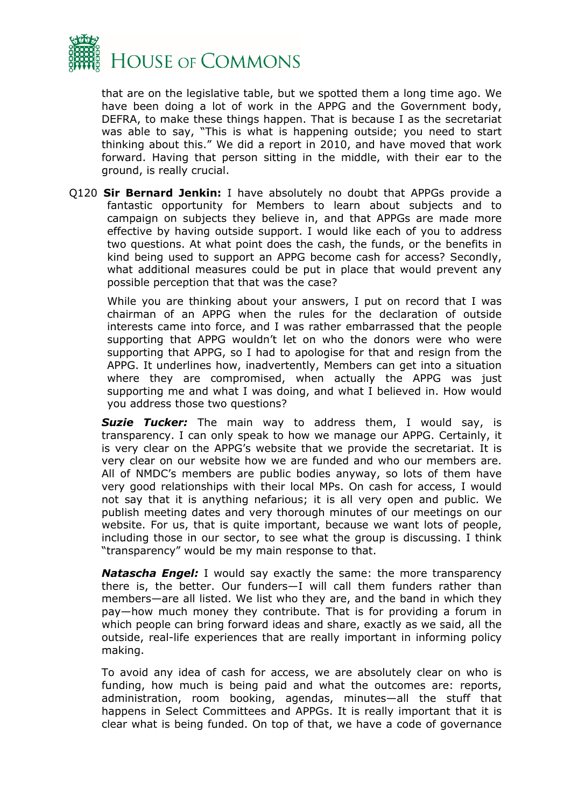

that are on the legislative table, but we spotted them a long time ago. We have been doing a lot of work in the APPG and the Government body, DEFRA, to make these things happen. That is because I as the secretariat was able to say, "This is what is happening outside; you need to start thinking about this." We did a report in 2010, and have moved that work forward. Having that person sitting in the middle, with their ear to the ground, is really crucial.

Q120 **Sir Bernard Jenkin:** I have absolutely no doubt that APPGs provide a fantastic opportunity for Members to learn about subjects and to campaign on subjects they believe in, and that APPGs are made more effective by having outside support. I would like each of you to address two questions. At what point does the cash, the funds, or the benefits in kind being used to support an APPG become cash for access? Secondly, what additional measures could be put in place that would prevent any possible perception that that was the case?

While you are thinking about your answers, I put on record that I was chairman of an APPG when the rules for the declaration of outside interests came into force, and I was rather embarrassed that the people supporting that APPG wouldn't let on who the donors were who were supporting that APPG, so I had to apologise for that and resign from the APPG. It underlines how, inadvertently, Members can get into a situation where they are compromised, when actually the APPG was just supporting me and what I was doing, and what I believed in. How would you address those two questions?

*Suzie Tucker:* The main way to address them, I would say, is transparency. I can only speak to how we manage our APPG. Certainly, it is very clear on the APPG's website that we provide the secretariat. It is very clear on our website how we are funded and who our members are. All of NMDC's members are public bodies anyway, so lots of them have very good relationships with their local MPs. On cash for access, I would not say that it is anything nefarious; it is all very open and public. We publish meeting dates and very thorough minutes of our meetings on our website. For us, that is quite important, because we want lots of people, including those in our sector, to see what the group is discussing. I think "transparency" would be my main response to that.

*Natascha Engel:* I would say exactly the same: the more transparency there is, the better. Our funders—I will call them funders rather than members—are all listed. We list who they are, and the band in which they pay—how much money they contribute. That is for providing a forum in which people can bring forward ideas and share, exactly as we said, all the outside, real-life experiences that are really important in informing policy making.

To avoid any idea of cash for access, we are absolutely clear on who is funding, how much is being paid and what the outcomes are: reports, administration, room booking, agendas, minutes—all the stuff that happens in Select Committees and APPGs. It is really important that it is clear what is being funded. On top of that, we have a code of governance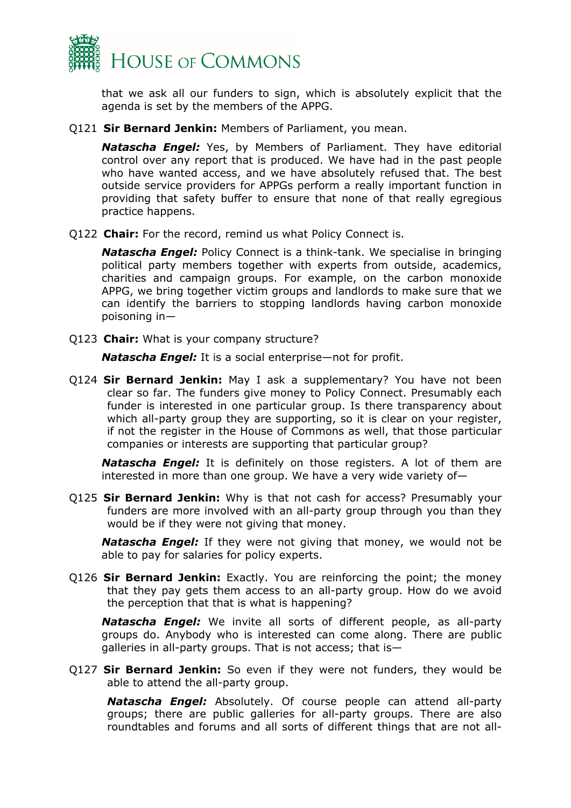

that we ask all our funders to sign, which is absolutely explicit that the agenda is set by the members of the APPG.

Q121 **Sir Bernard Jenkin:** Members of Parliament, you mean.

*Natascha Engel:* Yes, by Members of Parliament. They have editorial control over any report that is produced. We have had in the past people who have wanted access, and we have absolutely refused that. The best outside service providers for APPGs perform a really important function in providing that safety buffer to ensure that none of that really egregious practice happens.

Q122 **Chair:** For the record, remind us what Policy Connect is.

*Natascha Engel:* Policy Connect is a think-tank. We specialise in bringing political party members together with experts from outside, academics, charities and campaign groups. For example, on the carbon monoxide APPG, we bring together victim groups and landlords to make sure that we can identify the barriers to stopping landlords having carbon monoxide poisoning in—

Q123 **Chair:** What is your company structure?

*Natascha Engel:* It is a social enterprise—not for profit.

Q124 **Sir Bernard Jenkin:** May I ask a supplementary? You have not been clear so far. The funders give money to Policy Connect. Presumably each funder is interested in one particular group. Is there transparency about which all-party group they are supporting, so it is clear on your register, if not the register in the House of Commons as well, that those particular companies or interests are supporting that particular group?

*Natascha Engel:* It is definitely on those registers. A lot of them are interested in more than one group. We have a very wide variety of—

Q125 **Sir Bernard Jenkin:** Why is that not cash for access? Presumably your funders are more involved with an all-party group through you than they would be if they were not giving that money.

*Natascha Engel:* If they were not giving that money, we would not be able to pay for salaries for policy experts.

Q126 **Sir Bernard Jenkin:** Exactly. You are reinforcing the point; the money that they pay gets them access to an all-party group. How do we avoid the perception that that is what is happening?

*Natascha Engel:* We invite all sorts of different people, as all-party groups do. Anybody who is interested can come along. There are public galleries in all-party groups. That is not access; that is—

Q127 **Sir Bernard Jenkin:** So even if they were not funders, they would be able to attend the all-party group.

*Natascha Engel:* Absolutely. Of course people can attend all-party groups; there are public galleries for all-party groups. There are also roundtables and forums and all sorts of different things that are not all-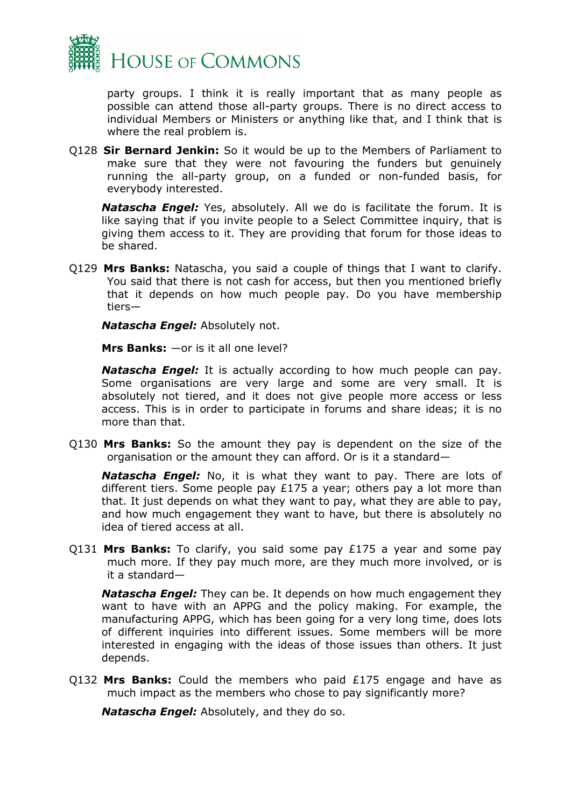

party groups. I think it is really important that as many people as possible can attend those all-party groups. There is no direct access to individual Members or Ministers or anything like that, and I think that is where the real problem is.

Q128 **Sir Bernard Jenkin:** So it would be up to the Members of Parliament to make sure that they were not favouring the funders but genuinely running the all-party group, on a funded or non-funded basis, for everybody interested.

*Natascha Engel:* Yes, absolutely. All we do is facilitate the forum. It is like saying that if you invite people to a Select Committee inquiry, that is giving them access to it. They are providing that forum for those ideas to be shared.

Q129 **Mrs Banks:** Natascha, you said a couple of things that I want to clarify. You said that there is not cash for access, but then you mentioned briefly that it depends on how much people pay. Do you have membership tiers—

*Natascha Engel:* Absolutely not.

**Mrs Banks:** —or is it all one level?

*Natascha Engel:* It is actually according to how much people can pay. Some organisations are very large and some are very small. It is absolutely not tiered, and it does not give people more access or less access. This is in order to participate in forums and share ideas; it is no more than that.

Q130 **Mrs Banks:** So the amount they pay is dependent on the size of the organisation or the amount they can afford. Or is it a standard—

*Natascha Engel:* No, it is what they want to pay. There are lots of different tiers. Some people pay £175 a year; others pay a lot more than that. It just depends on what they want to pay, what they are able to pay, and how much engagement they want to have, but there is absolutely no idea of tiered access at all.

Q131 **Mrs Banks:** To clarify, you said some pay £175 a year and some pay much more. If they pay much more, are they much more involved, or is it a standard—

*Natascha Engel:* They can be. It depends on how much engagement they want to have with an APPG and the policy making. For example, the manufacturing APPG, which has been going for a very long time, does lots of different inquiries into different issues. Some members will be more interested in engaging with the ideas of those issues than others. It just depends.

Q132 **Mrs Banks:** Could the members who paid £175 engage and have as much impact as the members who chose to pay significantly more?

*Natascha Engel:* Absolutely, and they do so.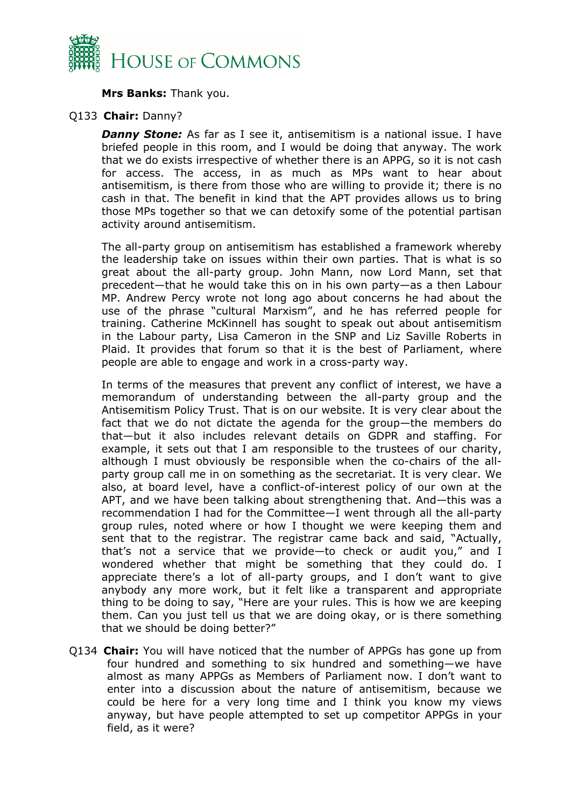

**Mrs Banks:** Thank you.

#### Q133 **Chair:** Danny?

**Danny Stone:** As far as I see it, antisemitism is a national issue. I have briefed people in this room, and I would be doing that anyway. The work that we do exists irrespective of whether there is an APPG, so it is not cash for access. The access, in as much as MPs want to hear about antisemitism, is there from those who are willing to provide it; there is no cash in that. The benefit in kind that the APT provides allows us to bring those MPs together so that we can detoxify some of the potential partisan activity around antisemitism.

The all-party group on antisemitism has established a framework whereby the leadership take on issues within their own parties. That is what is so great about the all-party group. John Mann, now Lord Mann, set that precedent—that he would take this on in his own party—as a then Labour MP. Andrew Percy wrote not long ago about concerns he had about the use of the phrase "cultural Marxism", and he has referred people for training. Catherine McKinnell has sought to speak out about antisemitism in the Labour party, Lisa Cameron in the SNP and Liz Saville Roberts in Plaid. It provides that forum so that it is the best of Parliament, where people are able to engage and work in a cross-party way.

In terms of the measures that prevent any conflict of interest, we have a memorandum of understanding between the all-party group and the Antisemitism Policy Trust. That is on our website. It is very clear about the fact that we do not dictate the agenda for the group—the members do that—but it also includes relevant details on GDPR and staffing. For example, it sets out that I am responsible to the trustees of our charity, although I must obviously be responsible when the co-chairs of the allparty group call me in on something as the secretariat. It is very clear. We also, at board level, have a conflict-of-interest policy of our own at the APT, and we have been talking about strengthening that. And—this was a recommendation I had for the Committee—I went through all the all-party group rules, noted where or how I thought we were keeping them and sent that to the registrar. The registrar came back and said, "Actually, that's not a service that we provide—to check or audit you," and I wondered whether that might be something that they could do. I appreciate there's a lot of all-party groups, and I don't want to give anybody any more work, but it felt like a transparent and appropriate thing to be doing to say, "Here are your rules. This is how we are keeping them. Can you just tell us that we are doing okay, or is there something that we should be doing better?"

Q134 **Chair:** You will have noticed that the number of APPGs has gone up from four hundred and something to six hundred and something—we have almost as many APPGs as Members of Parliament now. I don't want to enter into a discussion about the nature of antisemitism, because we could be here for a very long time and I think you know my views anyway, but have people attempted to set up competitor APPGs in your field, as it were?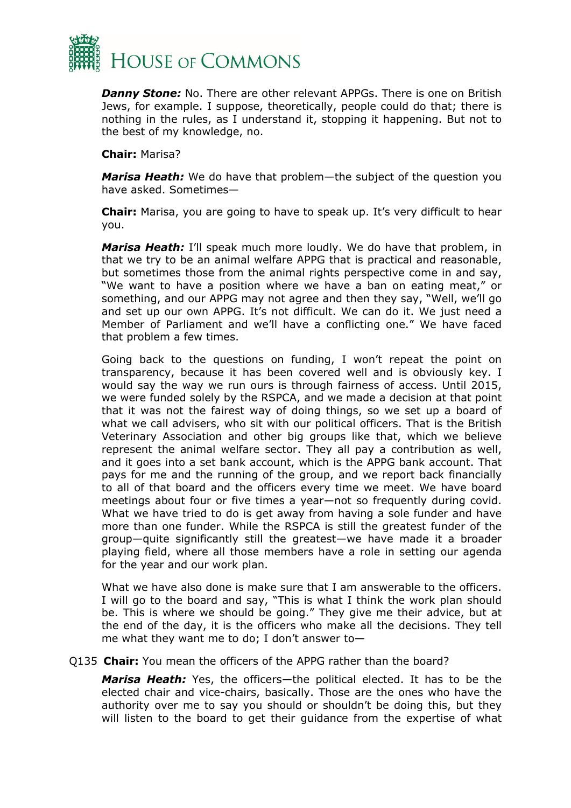

*Danny Stone:* No. There are other relevant APPGs. There is one on British Jews, for example. I suppose, theoretically, people could do that; there is nothing in the rules, as I understand it, stopping it happening. But not to the best of my knowledge, no.

**Chair:** Marisa?

*Marisa Heath:* We do have that problem—the subject of the question you have asked. Sometimes—

**Chair:** Marisa, you are going to have to speak up. It's very difficult to hear you.

*Marisa Heath:* I'll speak much more loudly. We do have that problem, in that we try to be an animal welfare APPG that is practical and reasonable, but sometimes those from the animal rights perspective come in and say, "We want to have a position where we have a ban on eating meat," or something, and our APPG may not agree and then they say, "Well, we'll go and set up our own APPG. It's not difficult. We can do it. We just need a Member of Parliament and we'll have a conflicting one." We have faced that problem a few times.

Going back to the questions on funding, I won't repeat the point on transparency, because it has been covered well and is obviously key. I would say the way we run ours is through fairness of access. Until 2015, we were funded solely by the RSPCA, and we made a decision at that point that it was not the fairest way of doing things, so we set up a board of what we call advisers, who sit with our political officers. That is the British Veterinary Association and other big groups like that, which we believe represent the animal welfare sector. They all pay a contribution as well, and it goes into a set bank account, which is the APPG bank account. That pays for me and the running of the group, and we report back financially to all of that board and the officers every time we meet. We have board meetings about four or five times a year—not so frequently during covid. What we have tried to do is get away from having a sole funder and have more than one funder. While the RSPCA is still the greatest funder of the group—quite significantly still the greatest—we have made it a broader playing field, where all those members have a role in setting our agenda for the year and our work plan.

What we have also done is make sure that I am answerable to the officers. I will go to the board and say, "This is what I think the work plan should be. This is where we should be going." They give me their advice, but at the end of the day, it is the officers who make all the decisions. They tell me what they want me to do; I don't answer to—

Q135 **Chair:** You mean the officers of the APPG rather than the board?

*Marisa Heath:* Yes, the officers—the political elected. It has to be the elected chair and vice-chairs, basically. Those are the ones who have the authority over me to say you should or shouldn't be doing this, but they will listen to the board to get their guidance from the expertise of what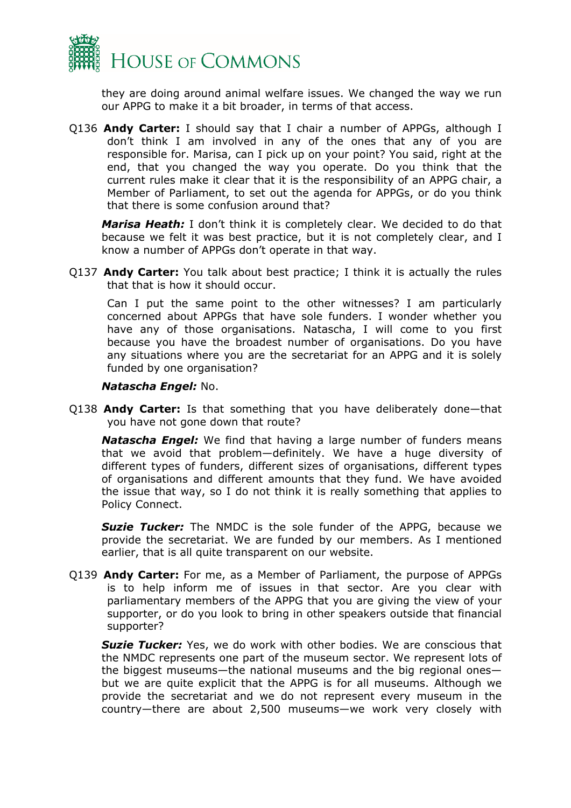

they are doing around animal welfare issues. We changed the way we run our APPG to make it a bit broader, in terms of that access.

Q136 **Andy Carter:** I should say that I chair a number of APPGs, although I don't think I am involved in any of the ones that any of you are responsible for. Marisa, can I pick up on your point? You said, right at the end, that you changed the way you operate. Do you think that the current rules make it clear that it is the responsibility of an APPG chair, a Member of Parliament, to set out the agenda for APPGs, or do you think that there is some confusion around that?

*Marisa Heath:* I don't think it is completely clear. We decided to do that because we felt it was best practice, but it is not completely clear, and I know a number of APPGs don't operate in that way.

Q137 **Andy Carter:** You talk about best practice; I think it is actually the rules that that is how it should occur.

Can I put the same point to the other witnesses? I am particularly concerned about APPGs that have sole funders. I wonder whether you have any of those organisations. Natascha, I will come to you first because you have the broadest number of organisations. Do you have any situations where you are the secretariat for an APPG and it is solely funded by one organisation?

#### *Natascha Engel:* No.

Q138 **Andy Carter:** Is that something that you have deliberately done—that you have not gone down that route?

*Natascha Engel:* We find that having a large number of funders means that we avoid that problem—definitely. We have a huge diversity of different types of funders, different sizes of organisations, different types of organisations and different amounts that they fund. We have avoided the issue that way, so I do not think it is really something that applies to Policy Connect.

**Suzie Tucker:** The NMDC is the sole funder of the APPG, because we provide the secretariat. We are funded by our members. As I mentioned earlier, that is all quite transparent on our website.

Q139 **Andy Carter:** For me, as a Member of Parliament, the purpose of APPGs is to help inform me of issues in that sector. Are you clear with parliamentary members of the APPG that you are giving the view of your supporter, or do you look to bring in other speakers outside that financial supporter?

**Suzie Tucker:** Yes, we do work with other bodies. We are conscious that the NMDC represents one part of the museum sector. We represent lots of the biggest museums—the national museums and the big regional ones but we are quite explicit that the APPG is for all museums. Although we provide the secretariat and we do not represent every museum in the country—there are about 2,500 museums—we work very closely with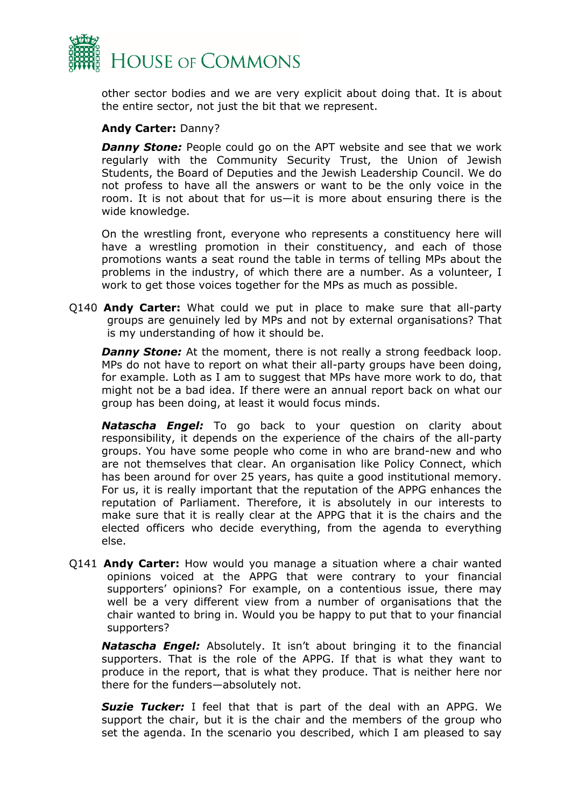

other sector bodies and we are very explicit about doing that. It is about the entire sector, not just the bit that we represent.

#### **Andy Carter:** Danny?

**Danny Stone:** People could go on the APT website and see that we work regularly with the Community Security Trust, the Union of Jewish Students, the Board of Deputies and the Jewish Leadership Council. We do not profess to have all the answers or want to be the only voice in the room. It is not about that for us—it is more about ensuring there is the wide knowledge.

On the wrestling front, everyone who represents a constituency here will have a wrestling promotion in their constituency, and each of those promotions wants a seat round the table in terms of telling MPs about the problems in the industry, of which there are a number. As a volunteer, I work to get those voices together for the MPs as much as possible.

Q140 **Andy Carter:** What could we put in place to make sure that all-party groups are genuinely led by MPs and not by external organisations? That is my understanding of how it should be.

*Danny Stone:* At the moment, there is not really a strong feedback loop. MPs do not have to report on what their all-party groups have been doing, for example. Loth as I am to suggest that MPs have more work to do, that might not be a bad idea. If there were an annual report back on what our group has been doing, at least it would focus minds.

*Natascha Engel:* To go back to your question on clarity about responsibility, it depends on the experience of the chairs of the all-party groups. You have some people who come in who are brand-new and who are not themselves that clear. An organisation like Policy Connect, which has been around for over 25 years, has quite a good institutional memory. For us, it is really important that the reputation of the APPG enhances the reputation of Parliament. Therefore, it is absolutely in our interests to make sure that it is really clear at the APPG that it is the chairs and the elected officers who decide everything, from the agenda to everything else.

Q141 **Andy Carter:** How would you manage a situation where a chair wanted opinions voiced at the APPG that were contrary to your financial supporters' opinions? For example, on a contentious issue, there may well be a very different view from a number of organisations that the chair wanted to bring in. Would you be happy to put that to your financial supporters?

*Natascha Engel:* Absolutely. It isn't about bringing it to the financial supporters. That is the role of the APPG. If that is what they want to produce in the report, that is what they produce. That is neither here nor there for the funders—absolutely not.

*Suzie Tucker:* I feel that that is part of the deal with an APPG. We support the chair, but it is the chair and the members of the group who set the agenda. In the scenario you described, which I am pleased to say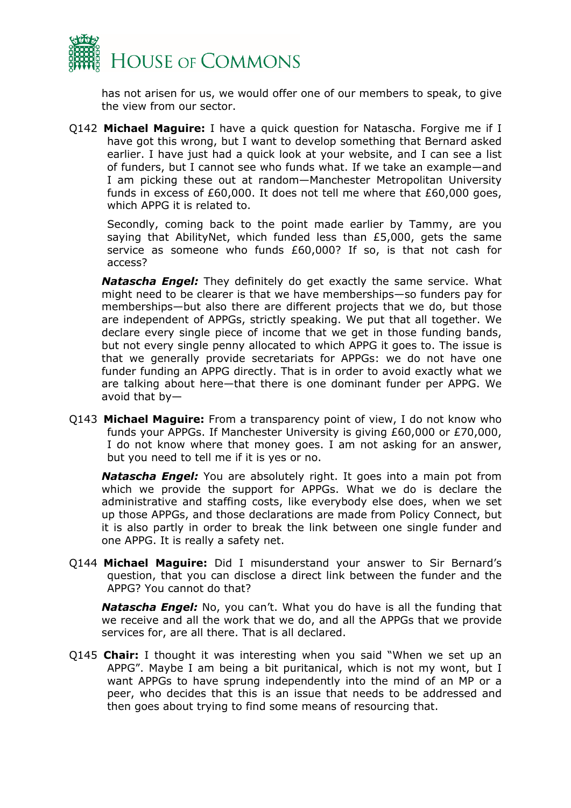

has not arisen for us, we would offer one of our members to speak, to give the view from our sector.

Q142 **Michael Maguire:** I have a quick question for Natascha. Forgive me if I have got this wrong, but I want to develop something that Bernard asked earlier. I have just had a quick look at your website, and I can see a list of funders, but I cannot see who funds what. If we take an example—and I am picking these out at random—Manchester Metropolitan University funds in excess of £60,000. It does not tell me where that £60,000 goes, which APPG it is related to.

Secondly, coming back to the point made earlier by Tammy, are you saying that AbilityNet, which funded less than £5,000, gets the same service as someone who funds £60,000? If so, is that not cash for access?

*Natascha Engel:* They definitely do get exactly the same service. What might need to be clearer is that we have memberships—so funders pay for memberships—but also there are different projects that we do, but those are independent of APPGs, strictly speaking. We put that all together. We declare every single piece of income that we get in those funding bands, but not every single penny allocated to which APPG it goes to. The issue is that we generally provide secretariats for APPGs: we do not have one funder funding an APPG directly. That is in order to avoid exactly what we are talking about here—that there is one dominant funder per APPG. We avoid that by—

Q143 **Michael Maguire:** From a transparency point of view, I do not know who funds your APPGs. If Manchester University is giving £60,000 or £70,000, I do not know where that money goes. I am not asking for an answer, but you need to tell me if it is yes or no.

*Natascha Engel:* You are absolutely right. It goes into a main pot from which we provide the support for APPGs. What we do is declare the administrative and staffing costs, like everybody else does, when we set up those APPGs, and those declarations are made from Policy Connect, but it is also partly in order to break the link between one single funder and one APPG. It is really a safety net.

Q144 **Michael Maguire:** Did I misunderstand your answer to Sir Bernard's question, that you can disclose a direct link between the funder and the APPG? You cannot do that?

*Natascha Engel:* No, you can't. What you do have is all the funding that we receive and all the work that we do, and all the APPGs that we provide services for, are all there. That is all declared.

Q145 **Chair:** I thought it was interesting when you said "When we set up an APPG". Maybe I am being a bit puritanical, which is not my wont, but I want APPGs to have sprung independently into the mind of an MP or a peer, who decides that this is an issue that needs to be addressed and then goes about trying to find some means of resourcing that.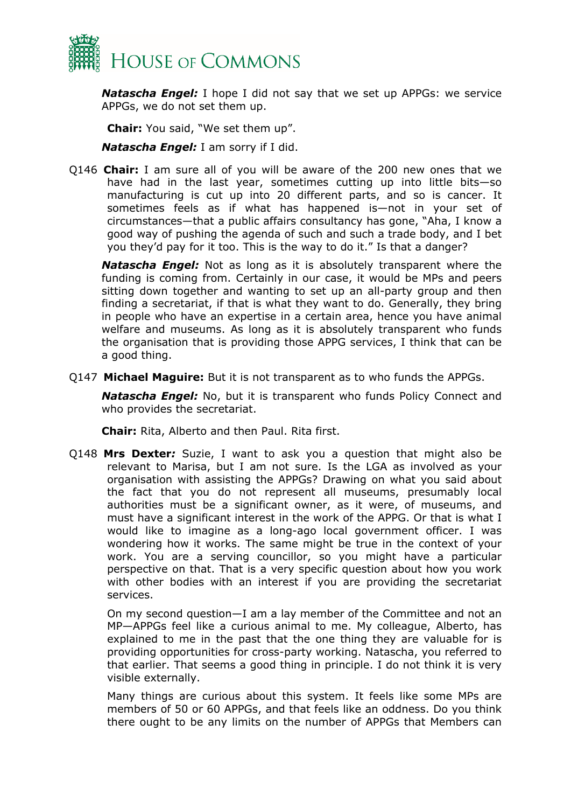

*Natascha Engel:* I hope I did not say that we set up APPGs: we service APPGs, we do not set them up.

**Chair:** You said, "We set them up".

*Natascha Engel:* I am sorry if I did.

Q146 **Chair:** I am sure all of you will be aware of the 200 new ones that we have had in the last year, sometimes cutting up into little bits—so manufacturing is cut up into 20 different parts, and so is cancer. It sometimes feels as if what has happened is—not in your set of circumstances—that a public affairs consultancy has gone, "Aha, I know a good way of pushing the agenda of such and such a trade body, and I bet you they'd pay for it too. This is the way to do it." Is that a danger?

*Natascha Engel:* Not as long as it is absolutely transparent where the funding is coming from. Certainly in our case, it would be MPs and peers sitting down together and wanting to set up an all-party group and then finding a secretariat, if that is what they want to do. Generally, they bring in people who have an expertise in a certain area, hence you have animal welfare and museums. As long as it is absolutely transparent who funds the organisation that is providing those APPG services, I think that can be a good thing.

Q147 **Michael Maguire:** But it is not transparent as to who funds the APPGs.

*Natascha Engel:* No, but it is transparent who funds Policy Connect and who provides the secretariat.

**Chair:** Rita, Alberto and then Paul. Rita first.

Q148 **Mrs Dexter***:* Suzie, I want to ask you a question that might also be relevant to Marisa, but I am not sure. Is the LGA as involved as your organisation with assisting the APPGs? Drawing on what you said about the fact that you do not represent all museums, presumably local authorities must be a significant owner, as it were, of museums, and must have a significant interest in the work of the APPG. Or that is what I would like to imagine as a long-ago local government officer. I was wondering how it works. The same might be true in the context of your work. You are a serving councillor, so you might have a particular perspective on that. That is a very specific question about how you work with other bodies with an interest if you are providing the secretariat services.

On my second question—I am a lay member of the Committee and not an MP—APPGs feel like a curious animal to me. My colleague, Alberto, has explained to me in the past that the one thing they are valuable for is providing opportunities for cross-party working. Natascha, you referred to that earlier. That seems a good thing in principle. I do not think it is very visible externally.

Many things are curious about this system. It feels like some MPs are members of 50 or 60 APPGs, and that feels like an oddness. Do you think there ought to be any limits on the number of APPGs that Members can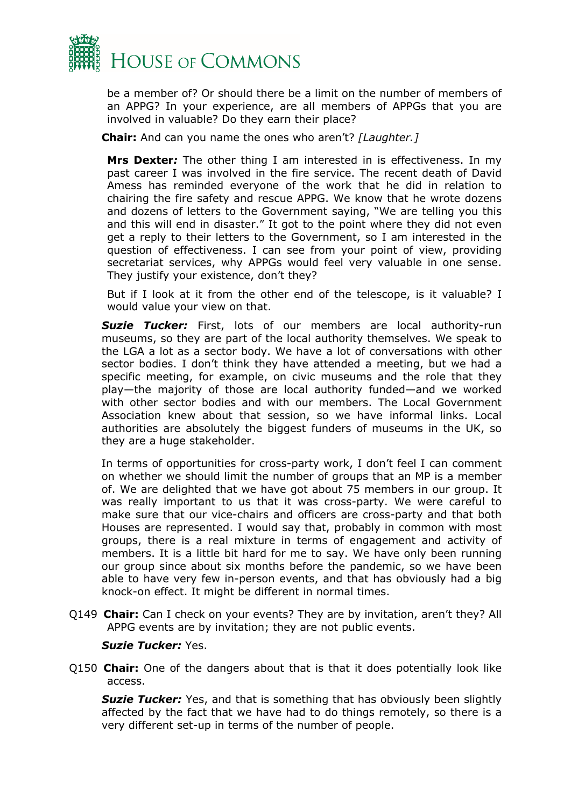

be a member of? Or should there be a limit on the number of members of an APPG? In your experience, are all members of APPGs that you are involved in valuable? Do they earn their place?

**Chair:** And can you name the ones who aren't? *[Laughter.]*

**Mrs Dexter***:* The other thing I am interested in is effectiveness. In my past career I was involved in the fire service. The recent death of David Amess has reminded everyone of the work that he did in relation to chairing the fire safety and rescue APPG. We know that he wrote dozens and dozens of letters to the Government saying, "We are telling you this and this will end in disaster." It got to the point where they did not even get a reply to their letters to the Government, so I am interested in the question of effectiveness. I can see from your point of view, providing secretariat services, why APPGs would feel very valuable in one sense. They justify your existence, don't they?

But if I look at it from the other end of the telescope, is it valuable? I would value your view on that.

*Suzie Tucker:* First, lots of our members are local authority-run museums, so they are part of the local authority themselves. We speak to the LGA a lot as a sector body. We have a lot of conversations with other sector bodies. I don't think they have attended a meeting, but we had a specific meeting, for example, on civic museums and the role that they play—the majority of those are local authority funded—and we worked with other sector bodies and with our members. The Local Government Association knew about that session, so we have informal links. Local authorities are absolutely the biggest funders of museums in the UK, so they are a huge stakeholder.

In terms of opportunities for cross-party work, I don't feel I can comment on whether we should limit the number of groups that an MP is a member of. We are delighted that we have got about 75 members in our group. It was really important to us that it was cross-party. We were careful to make sure that our vice-chairs and officers are cross-party and that both Houses are represented. I would say that, probably in common with most groups, there is a real mixture in terms of engagement and activity of members. It is a little bit hard for me to say. We have only been running our group since about six months before the pandemic, so we have been able to have very few in-person events, and that has obviously had a big knock-on effect. It might be different in normal times.

Q149 **Chair:** Can I check on your events? They are by invitation, aren't they? All APPG events are by invitation; they are not public events.

#### *Suzie Tucker:* Yes.

Q150 **Chair:** One of the dangers about that is that it does potentially look like access.

*Suzie Tucker:* Yes, and that is something that has obviously been slightly affected by the fact that we have had to do things remotely, so there is a very different set-up in terms of the number of people.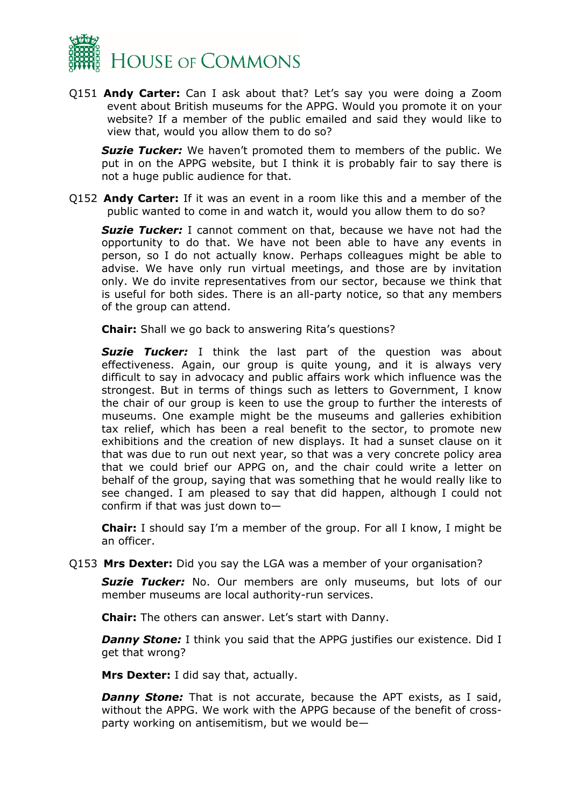

Q151 **Andy Carter:** Can I ask about that? Let's say you were doing a Zoom event about British museums for the APPG. Would you promote it on your website? If a member of the public emailed and said they would like to view that, would you allow them to do so?

*Suzie Tucker:* We haven't promoted them to members of the public. We put in on the APPG website, but I think it is probably fair to say there is not a huge public audience for that.

Q152 **Andy Carter:** If it was an event in a room like this and a member of the public wanted to come in and watch it, would you allow them to do so?

*Suzie Tucker:* I cannot comment on that, because we have not had the opportunity to do that. We have not been able to have any events in person, so I do not actually know. Perhaps colleagues might be able to advise. We have only run virtual meetings, and those are by invitation only. We do invite representatives from our sector, because we think that is useful for both sides. There is an all-party notice, so that any members of the group can attend.

**Chair:** Shall we go back to answering Rita's questions?

*Suzie Tucker:* I think the last part of the question was about effectiveness. Again, our group is quite young, and it is always very difficult to say in advocacy and public affairs work which influence was the strongest. But in terms of things such as letters to Government, I know the chair of our group is keen to use the group to further the interests of museums. One example might be the museums and galleries exhibition tax relief, which has been a real benefit to the sector, to promote new exhibitions and the creation of new displays. It had a sunset clause on it that was due to run out next year, so that was a very concrete policy area that we could brief our APPG on, and the chair could write a letter on behalf of the group, saying that was something that he would really like to see changed. I am pleased to say that did happen, although I could not confirm if that was just down to—

**Chair:** I should say I'm a member of the group. For all I know, I might be an officer.

Q153 **Mrs Dexter:** Did you say the LGA was a member of your organisation?

**Suzie Tucker:** No. Our members are only museums, but lots of our member museums are local authority-run services.

**Chair:** The others can answer. Let's start with Danny.

**Danny Stone:** I think you said that the APPG justifies our existence. Did I get that wrong?

**Mrs Dexter:** I did say that, actually.

**Danny Stone:** That is not accurate, because the APT exists, as I said, without the APPG. We work with the APPG because of the benefit of crossparty working on antisemitism, but we would be—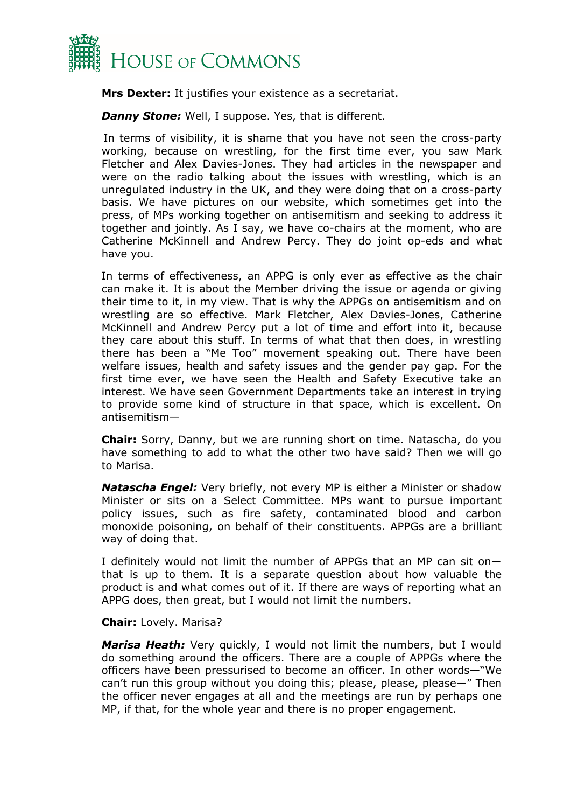

**Mrs Dexter:** It justifies your existence as a secretariat.

*Danny Stone:* Well, I suppose. Yes, that is different.

In terms of visibility, it is shame that you have not seen the cross-party working, because on wrestling, for the first time ever, you saw Mark Fletcher and Alex Davies-Jones. They had articles in the newspaper and were on the radio talking about the issues with wrestling, which is an unregulated industry in the UK, and they were doing that on a cross-party basis. We have pictures on our website, which sometimes get into the press, of MPs working together on antisemitism and seeking to address it together and jointly. As I say, we have co-chairs at the moment, who are Catherine McKinnell and Andrew Percy. They do joint op-eds and what have you.

In terms of effectiveness, an APPG is only ever as effective as the chair can make it. It is about the Member driving the issue or agenda or giving their time to it, in my view. That is why the APPGs on antisemitism and on wrestling are so effective. Mark Fletcher, Alex Davies-Jones, Catherine McKinnell and Andrew Percy put a lot of time and effort into it, because they care about this stuff. In terms of what that then does, in wrestling there has been a "Me Too" movement speaking out. There have been welfare issues, health and safety issues and the gender pay gap. For the first time ever, we have seen the Health and Safety Executive take an interest. We have seen Government Departments take an interest in trying to provide some kind of structure in that space, which is excellent. On antisemitism—

**Chair:** Sorry, Danny, but we are running short on time. Natascha, do you have something to add to what the other two have said? Then we will go to Marisa.

*Natascha Engel:* Very briefly, not every MP is either a Minister or shadow Minister or sits on a Select Committee. MPs want to pursue important policy issues, such as fire safety, contaminated blood and carbon monoxide poisoning, on behalf of their constituents. APPGs are a brilliant way of doing that.

I definitely would not limit the number of APPGs that an MP can sit on that is up to them. It is a separate question about how valuable the product is and what comes out of it. If there are ways of reporting what an APPG does, then great, but I would not limit the numbers.

#### **Chair:** Lovely. Marisa?

*Marisa Heath:* Very quickly, I would not limit the numbers, but I would do something around the officers. There are a couple of APPGs where the officers have been pressurised to become an officer. In other words—"We can't run this group without you doing this; please, please, please—" Then the officer never engages at all and the meetings are run by perhaps one MP, if that, for the whole year and there is no proper engagement.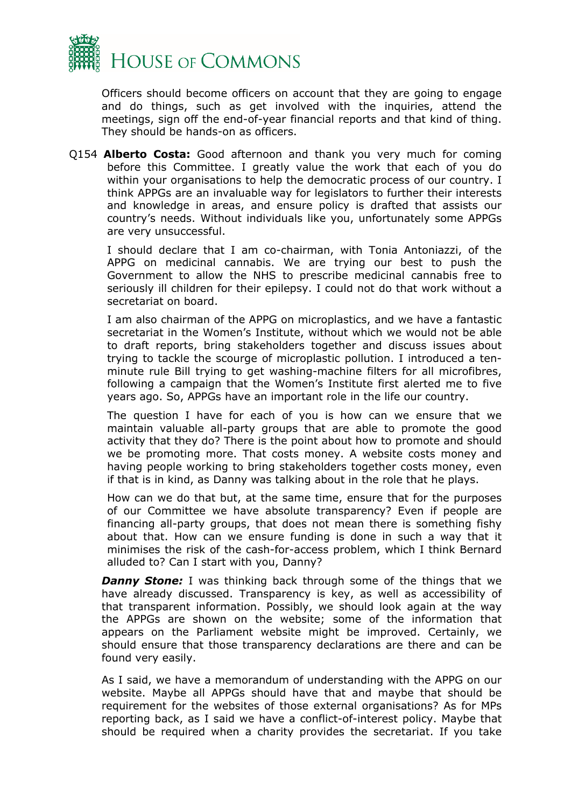

Officers should become officers on account that they are going to engage and do things, such as get involved with the inquiries, attend the meetings, sign off the end-of-year financial reports and that kind of thing. They should be hands-on as officers.

Q154 **Alberto Costa:** Good afternoon and thank you very much for coming before this Committee. I greatly value the work that each of you do within your organisations to help the democratic process of our country. I think APPGs are an invaluable way for legislators to further their interests and knowledge in areas, and ensure policy is drafted that assists our country's needs. Without individuals like you, unfortunately some APPGs are very unsuccessful.

I should declare that I am co-chairman, with Tonia Antoniazzi, of the APPG on medicinal cannabis. We are trying our best to push the Government to allow the NHS to prescribe medicinal cannabis free to seriously ill children for their epilepsy. I could not do that work without a secretariat on board.

I am also chairman of the APPG on microplastics, and we have a fantastic secretariat in the Women's Institute, without which we would not be able to draft reports, bring stakeholders together and discuss issues about trying to tackle the scourge of microplastic pollution. I introduced a tenminute rule Bill trying to get washing-machine filters for all microfibres, following a campaign that the Women's Institute first alerted me to five years ago. So, APPGs have an important role in the life our country.

The question I have for each of you is how can we ensure that we maintain valuable all-party groups that are able to promote the good activity that they do? There is the point about how to promote and should we be promoting more. That costs money. A website costs money and having people working to bring stakeholders together costs money, even if that is in kind, as Danny was talking about in the role that he plays.

How can we do that but, at the same time, ensure that for the purposes of our Committee we have absolute transparency? Even if people are financing all-party groups, that does not mean there is something fishy about that. How can we ensure funding is done in such a way that it minimises the risk of the cash-for-access problem, which I think Bernard alluded to? Can I start with you, Danny?

*Danny Stone:* I was thinking back through some of the things that we have already discussed. Transparency is key, as well as accessibility of that transparent information. Possibly, we should look again at the way the APPGs are shown on the website; some of the information that appears on the Parliament website might be improved. Certainly, we should ensure that those transparency declarations are there and can be found very easily.

As I said, we have a memorandum of understanding with the APPG on our website. Maybe all APPGs should have that and maybe that should be requirement for the websites of those external organisations? As for MPs reporting back, as I said we have a conflict-of-interest policy. Maybe that should be required when a charity provides the secretariat. If you take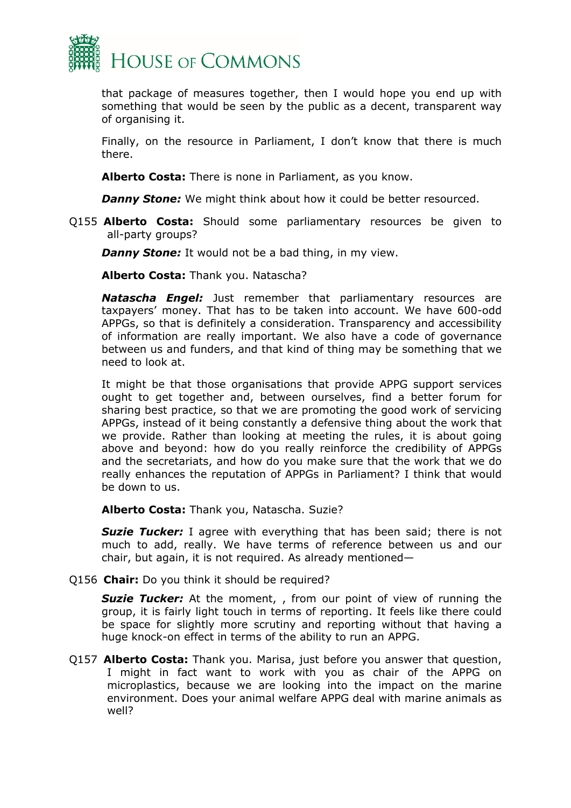

that package of measures together, then I would hope you end up with something that would be seen by the public as a decent, transparent way of organising it.

Finally, on the resource in Parliament, I don't know that there is much there.

**Alberto Costa:** There is none in Parliament, as you know.

*Danny Stone:* We might think about how it could be better resourced.

Q155 **Alberto Costa:** Should some parliamentary resources be given to all-party groups?

*Danny Stone:* It would not be a bad thing, in my view.

**Alberto Costa:** Thank you. Natascha?

*Natascha Engel:* Just remember that parliamentary resources are taxpayers' money. That has to be taken into account. We have 600-odd APPGs, so that is definitely a consideration. Transparency and accessibility of information are really important. We also have a code of governance between us and funders, and that kind of thing may be something that we need to look at.

It might be that those organisations that provide APPG support services ought to get together and, between ourselves, find a better forum for sharing best practice, so that we are promoting the good work of servicing APPGs, instead of it being constantly a defensive thing about the work that we provide. Rather than looking at meeting the rules, it is about going above and beyond: how do you really reinforce the credibility of APPGs and the secretariats, and how do you make sure that the work that we do really enhances the reputation of APPGs in Parliament? I think that would be down to us.

**Alberto Costa:** Thank you, Natascha. Suzie?

*Suzie Tucker:* I agree with everything that has been said; there is not much to add, really. We have terms of reference between us and our chair, but again, it is not required. As already mentioned—

Q156 **Chair:** Do you think it should be required?

**Suzie Tucker:** At the moment, , from our point of view of running the group, it is fairly light touch in terms of reporting. It feels like there could be space for slightly more scrutiny and reporting without that having a huge knock-on effect in terms of the ability to run an APPG.

Q157 **Alberto Costa:** Thank you. Marisa, just before you answer that question, I might in fact want to work with you as chair of the APPG on microplastics, because we are looking into the impact on the marine environment. Does your animal welfare APPG deal with marine animals as well?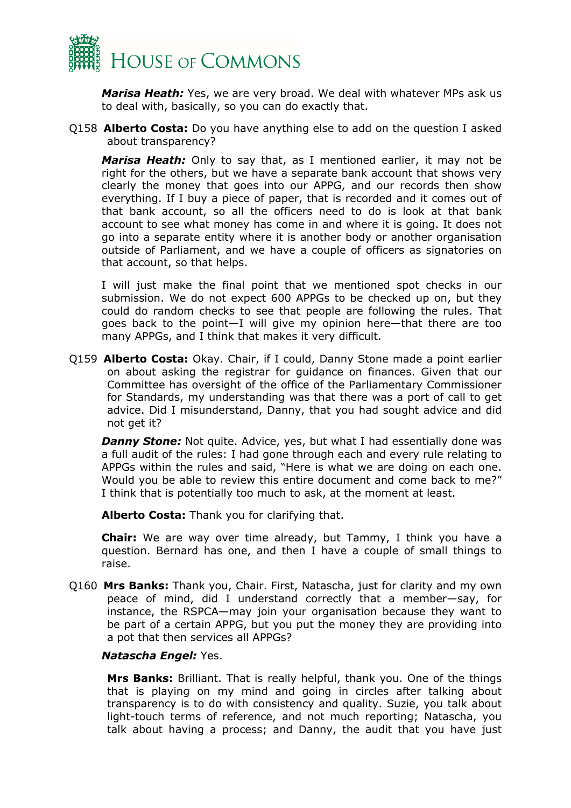

*Marisa Heath:* Yes, we are very broad. We deal with whatever MPs ask us to deal with, basically, so you can do exactly that.

Q158 **Alberto Costa:** Do you have anything else to add on the question I asked about transparency?

*Marisa Heath:* Only to say that, as I mentioned earlier, it may not be right for the others, but we have a separate bank account that shows very clearly the money that goes into our APPG, and our records then show everything. If I buy a piece of paper, that is recorded and it comes out of that bank account, so all the officers need to do is look at that bank account to see what money has come in and where it is going. It does not go into a separate entity where it is another body or another organisation outside of Parliament, and we have a couple of officers as signatories on that account, so that helps.

I will just make the final point that we mentioned spot checks in our submission. We do not expect 600 APPGs to be checked up on, but they could do random checks to see that people are following the rules. That goes back to the point—I will give my opinion here—that there are too many APPGs, and I think that makes it very difficult.

Q159 **Alberto Costa:** Okay. Chair, if I could, Danny Stone made a point earlier on about asking the registrar for guidance on finances. Given that our Committee has oversight of the office of the Parliamentary Commissioner for Standards, my understanding was that there was a port of call to get advice. Did I misunderstand, Danny, that you had sought advice and did not get it?

**Danny Stone:** Not quite. Advice, yes, but what I had essentially done was a full audit of the rules: I had gone through each and every rule relating to APPGs within the rules and said, "Here is what we are doing on each one. Would you be able to review this entire document and come back to me?" I think that is potentially too much to ask, at the moment at least.

**Alberto Costa:** Thank you for clarifying that.

**Chair:** We are way over time already, but Tammy, I think you have a question. Bernard has one, and then I have a couple of small things to raise.

Q160 **Mrs Banks:** Thank you, Chair. First, Natascha, just for clarity and my own peace of mind, did I understand correctly that a member—say, for instance, the RSPCA—may join your organisation because they want to be part of a certain APPG, but you put the money they are providing into a pot that then services all APPGs?

#### *Natascha Engel:* Yes.

**Mrs Banks:** Brilliant. That is really helpful, thank you. One of the things that is playing on my mind and going in circles after talking about transparency is to do with consistency and quality. Suzie, you talk about light-touch terms of reference, and not much reporting; Natascha, you talk about having a process; and Danny, the audit that you have just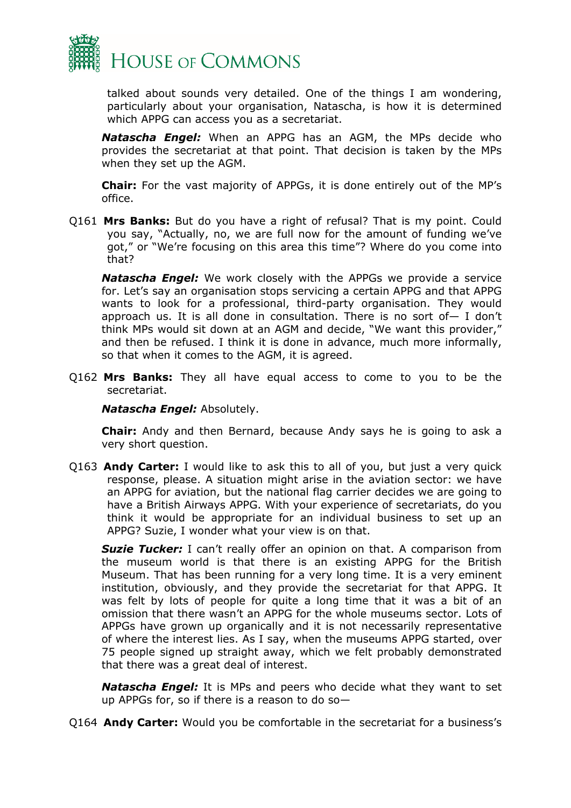

talked about sounds very detailed. One of the things I am wondering, particularly about your organisation, Natascha, is how it is determined which APPG can access you as a secretariat.

*Natascha Engel:* When an APPG has an AGM, the MPs decide who provides the secretariat at that point. That decision is taken by the MPs when they set up the AGM.

**Chair:** For the vast majority of APPGs, it is done entirely out of the MP's office.

Q161 **Mrs Banks:** But do you have a right of refusal? That is my point. Could you say, "Actually, no, we are full now for the amount of funding we've got," or "We're focusing on this area this time"? Where do you come into that?

*Natascha Engel:* We work closely with the APPGs we provide a service for. Let's say an organisation stops servicing a certain APPG and that APPG wants to look for a professional, third-party organisation. They would approach us. It is all done in consultation. There is no sort of— I don't think MPs would sit down at an AGM and decide, "We want this provider," and then be refused. I think it is done in advance, much more informally, so that when it comes to the AGM, it is agreed.

Q162 **Mrs Banks:** They all have equal access to come to you to be the secretariat.

*Natascha Engel:* Absolutely.

**Chair:** Andy and then Bernard, because Andy says he is going to ask a very short question.

Q163 **Andy Carter:** I would like to ask this to all of you, but just a very quick response, please. A situation might arise in the aviation sector: we have an APPG for aviation, but the national flag carrier decides we are going to have a British Airways APPG. With your experience of secretariats, do you think it would be appropriate for an individual business to set up an APPG? Suzie, I wonder what your view is on that.

*Suzie Tucker:* I can't really offer an opinion on that. A comparison from the museum world is that there is an existing APPG for the British Museum. That has been running for a very long time. It is a very eminent institution, obviously, and they provide the secretariat for that APPG. It was felt by lots of people for quite a long time that it was a bit of an omission that there wasn't an APPG for the whole museums sector. Lots of APPGs have grown up organically and it is not necessarily representative of where the interest lies. As I say, when the museums APPG started, over 75 people signed up straight away, which we felt probably demonstrated that there was a great deal of interest.

*Natascha Engel:* It is MPs and peers who decide what they want to set up APPGs for, so if there is a reason to do so—

Q164 **Andy Carter:** Would you be comfortable in the secretariat for a business's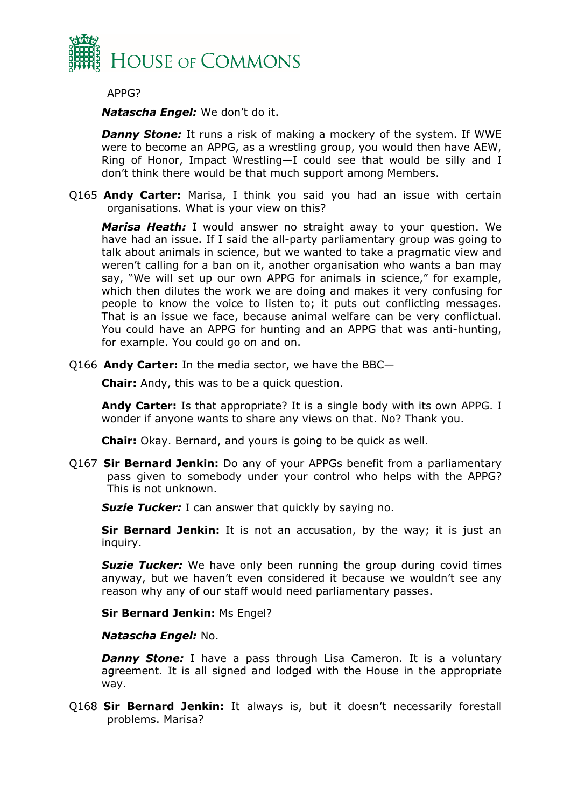

APPG?

*Natascha Engel:* We don't do it.

*Danny Stone:* It runs a risk of making a mockery of the system. If WWE were to become an APPG, as a wrestling group, you would then have AEW, Ring of Honor, Impact Wrestling—I could see that would be silly and I don't think there would be that much support among Members.

Q165 **Andy Carter:** Marisa, I think you said you had an issue with certain organisations. What is your view on this?

*Marisa Heath:* I would answer no straight away to your question. We have had an issue. If I said the all-party parliamentary group was going to talk about animals in science, but we wanted to take a pragmatic view and weren't calling for a ban on it, another organisation who wants a ban may say, "We will set up our own APPG for animals in science," for example, which then dilutes the work we are doing and makes it very confusing for people to know the voice to listen to; it puts out conflicting messages. That is an issue we face, because animal welfare can be very conflictual. You could have an APPG for hunting and an APPG that was anti-hunting, for example. You could go on and on.

Q166 **Andy Carter:** In the media sector, we have the BBC—

**Chair:** Andy, this was to be a quick question.

**Andy Carter:** Is that appropriate? It is a single body with its own APPG. I wonder if anyone wants to share any views on that. No? Thank you.

**Chair:** Okay. Bernard, and yours is going to be quick as well.

Q167 **Sir Bernard Jenkin:** Do any of your APPGs benefit from a parliamentary pass given to somebody under your control who helps with the APPG? This is not unknown.

**Suzie Tucker:** I can answer that quickly by saying no.

**Sir Bernard Jenkin:** It is not an accusation, by the way; it is just an inquiry.

**Suzie Tucker:** We have only been running the group during covid times anyway, but we haven't even considered it because we wouldn't see any reason why any of our staff would need parliamentary passes.

**Sir Bernard Jenkin:** Ms Engel?

*Natascha Engel:* No.

*Danny Stone:* I have a pass through Lisa Cameron. It is a voluntary agreement. It is all signed and lodged with the House in the appropriate way.

Q168 **Sir Bernard Jenkin:** It always is, but it doesn't necessarily forestall problems. Marisa?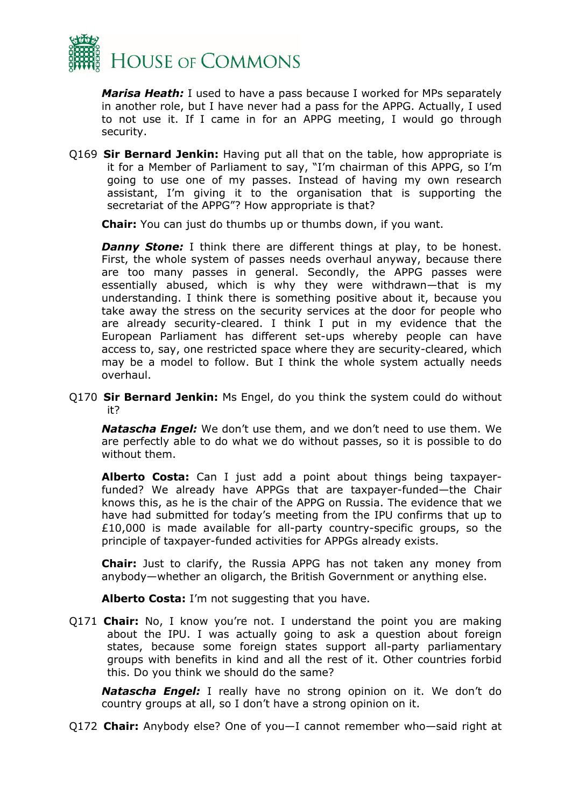

*Marisa Heath:* I used to have a pass because I worked for MPs separately in another role, but I have never had a pass for the APPG. Actually, I used to not use it. If I came in for an APPG meeting, I would go through security.

Q169 **Sir Bernard Jenkin:** Having put all that on the table, how appropriate is it for a Member of Parliament to say, "I'm chairman of this APPG, so I'm going to use one of my passes. Instead of having my own research assistant, I'm giving it to the organisation that is supporting the secretariat of the APPG"? How appropriate is that?

**Chair:** You can just do thumbs up or thumbs down, if you want.

**Danny Stone:** I think there are different things at play, to be honest. First, the whole system of passes needs overhaul anyway, because there are too many passes in general. Secondly, the APPG passes were essentially abused, which is why they were withdrawn—that is my understanding. I think there is something positive about it, because you take away the stress on the security services at the door for people who are already security-cleared. I think I put in my evidence that the European Parliament has different set-ups whereby people can have access to, say, one restricted space where they are security-cleared, which may be a model to follow. But I think the whole system actually needs overhaul.

Q170 **Sir Bernard Jenkin:** Ms Engel, do you think the system could do without it?

*Natascha Engel:* We don't use them, and we don't need to use them. We are perfectly able to do what we do without passes, so it is possible to do without them.

**Alberto Costa:** Can I just add a point about things being taxpayerfunded? We already have APPGs that are taxpayer-funded—the Chair knows this, as he is the chair of the APPG on Russia. The evidence that we have had submitted for today's meeting from the IPU confirms that up to £10,000 is made available for all-party country-specific groups, so the principle of taxpayer-funded activities for APPGs already exists.

**Chair:** Just to clarify, the Russia APPG has not taken any money from anybody—whether an oligarch, the British Government or anything else.

**Alberto Costa:** I'm not suggesting that you have.

Q171 **Chair:** No, I know you're not. I understand the point you are making about the IPU. I was actually going to ask a question about foreign states, because some foreign states support all-party parliamentary groups with benefits in kind and all the rest of it. Other countries forbid this. Do you think we should do the same?

*Natascha Engel:* I really have no strong opinion on it. We don't do country groups at all, so I don't have a strong opinion on it.

Q172 **Chair:** Anybody else? One of you—I cannot remember who—said right at